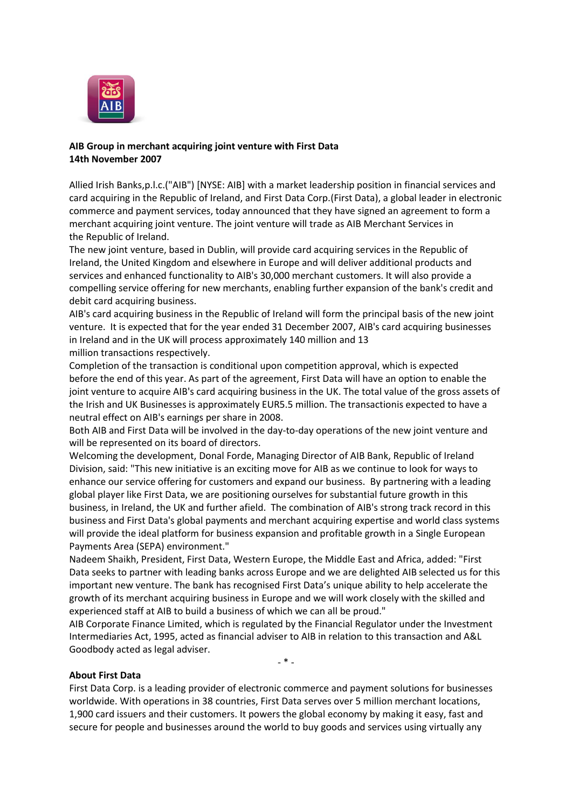

## **AIB Group in merchant acquiring joint venture with First Data 14th November 2007**

Allied Irish Banks,p.l.c.("AIB") [NYSE: AIB] with a market leadership position in financial services and card acquiring in the Republic of Ireland, and First Data Corp.(First Data), a global leader in electronic commerce and payment services, today announced that they have signed an agreement to form a merchant acquiring joint venture. The joint venture will trade as AIB Merchant Services in the Republic of Ireland.

The new joint venture, based in Dublin, will provide card acquiring services in the Republic of Ireland, the United Kingdom and elsewhere in Europe and will deliver additional products and services and enhanced functionality to AIB's 30,000 merchant customers. It will also provide a compelling service offering for new merchants, enabling further expansion of the bank's credit and debit card acquiring business.

AIB's card acquiring business in the Republic of Ireland will form the principal basis of the new joint venture. It is expected that for the year ended 31 December 2007, AIB's card acquiring businesses in Ireland and in the UK will process approximately 140 million and 13 million transactions respectively.

Completion of the transaction is conditional upon competition approval, which is expected before the end of this year. As part of the agreement, First Data will have an option to enable the joint venture to acquire AIB's card acquiring business in the UK. The total value of the gross assets of the Irish and UK Businesses is approximately EUR5.5 million. The transactionis expected to have a neutral effect on AIB's earnings per share in 2008.

Both AIB and First Data will be involved in the day-to-day operations of the new joint venture and will be represented on its board of directors.

Welcoming the development, Donal Forde, Managing Director of AIB Bank, Republic of Ireland Division, said: "This new initiative is an exciting move for AIB as we continue to look for ways to enhance our service offering for customers and expand our business. By partnering with a leading global player like First Data, we are positioning ourselves for substantial future growth in this business, in Ireland, the UK and further afield. The combination of AIB's strong track record in this business and First Data's global payments and merchant acquiring expertise and world class systems will provide the ideal platform for business expansion and profitable growth in a Single European Payments Area (SEPA) environment."

Nadeem Shaikh, President, First Data, Western Europe, the Middle East and Africa, added: "First Data seeks to partner with leading banks across Europe and we are delighted AIB selected us for this important new venture. The bank has recognised First Data's unique ability to help accelerate the growth of its merchant acquiring business in Europe and we will work closely with the skilled and experienced staff at AIB to build a business of which we can all be proud."

AIB Corporate Finance Limited, which is regulated by the Financial Regulator under the Investment Intermediaries Act, 1995, acted as financial adviser to AIB in relation to this transaction and A&L Goodbody acted as legal adviser.

 $*$ 

## **About First Data**

First Data Corp. is a leading provider of electronic commerce and payment solutions for businesses worldwide. With operations in 38 countries, First Data serves over 5 million merchant locations, 1,900 card issuers and their customers. It powers the global economy by making it easy, fast and secure for people and businesses around the world to buy goods and services using virtually any